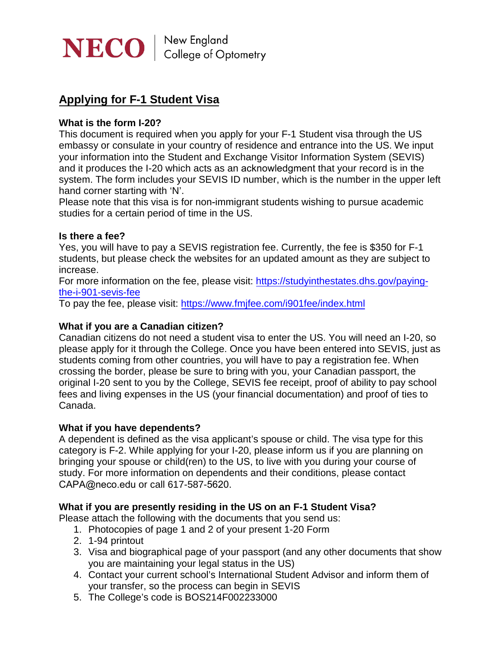

# **Applying for F-1 Student Visa**

## **What is the form I-20?**

This document is required when you apply for your F-1 Student visa through the US embassy or consulate in your country of residence and entrance into the US. We input your information into the Student and Exchange Visitor Information System (SEVIS) and it produces the I-20 which acts as an acknowledgment that your record is in the system. The form includes your SEVIS ID number, which is the number in the upper left hand corner starting with 'N'.

Please note that this visa is for non-immigrant students wishing to pursue academic studies for a certain period of time in the US.

## **Is there a fee?**

Yes, you will have to pay a SEVIS registration fee. Currently, the fee is \$350 for F-1 students, but please check the websites for an updated amount as they are subject to increase.

For more information on the fee, please visit: [https://studyinthestates.dhs.gov/paying](https://studyinthestates.dhs.gov/paying-the-i-901-sevis-fee)[the-i-901-sevis-fee](https://studyinthestates.dhs.gov/paying-the-i-901-sevis-fee)

To pay the fee, please visit: <https://www.fmjfee.com/i901fee/index.html>

# **What if you are a Canadian citizen?**

Canadian citizens do not need a student visa to enter the US. You will need an I-20, so please apply for it through the College. Once you have been entered into SEVIS, just as students coming from other countries, you will have to pay a registration fee. When crossing the border, please be sure to bring with you, your Canadian passport, the original I-20 sent to you by the College, SEVIS fee receipt, proof of ability to pay school fees and living expenses in the US (your financial documentation) and proof of ties to Canada.

#### **What if you have dependents?**

A dependent is defined as the visa applicant's spouse or child. The visa type for this category is F-2. While applying for your I-20, please inform us if you are planning on bringing your spouse or child(ren) to the US, to live with you during your course of study. For more information on dependents and their conditions, please contact CAPA@neco.edu or call 617-587-5620.

#### **What if you are presently residing in the US on an F-1 Student Visa?**

Please attach the following with the documents that you send us:

- 1. Photocopies of page 1 and 2 of your present 1-20 Form
- 2. 1-94 printout
- 3. Visa and biographical page of your passport (and any other documents that show you are maintaining your legal status in the US)
- 4. Contact your current school's International Student Advisor and inform them of your transfer, so the process can begin in SEVIS
- 5. The College's code is BOS214F002233000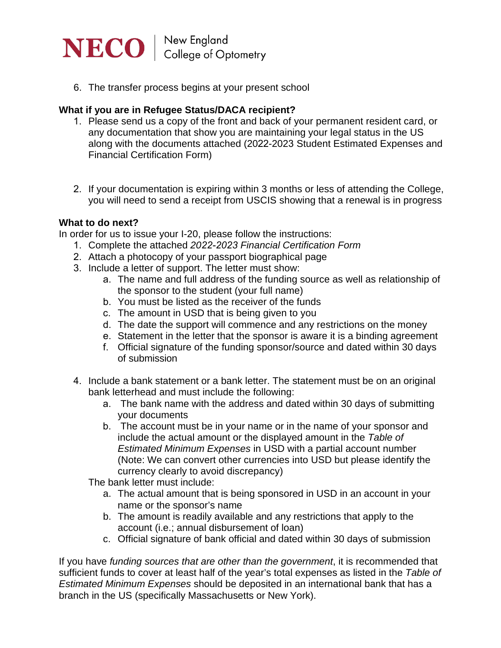

6. The transfer process begins at your present school

# **What if you are in Refugee Status/DACA recipient?**

- 1. Please send us a copy of the front and back of your permanent resident card, or any documentation that show you are maintaining your legal status in the US along with the documents attached (2022-2023 Student Estimated Expenses and Financial Certification Form)
- 2. If your documentation is expiring within 3 months or less of attending the College, you will need to send a receipt from USCIS showing that a renewal is in progress

## **What to do next?**

In order for us to issue your I-20, please follow the instructions:

- 1. Complete the attached *2022-2023 Financial Certification Form*
- 2. Attach a photocopy of your passport biographical page
- 3. Include a letter of support. The letter must show:
	- a. The name and full address of the funding source as well as relationship of the sponsor to the student (your full name)
	- b. You must be listed as the receiver of the funds
	- c. The amount in USD that is being given to you
	- d. The date the support will commence and any restrictions on the money
	- e. Statement in the letter that the sponsor is aware it is a binding agreement
	- f. Official signature of the funding sponsor/source and dated within 30 days of submission
- 4. Include a bank statement or a bank letter. The statement must be on an original bank letterhead and must include the following:
	- a. The bank name with the address and dated within 30 days of submitting your documents
	- b. The account must be in your name or in the name of your sponsor and include the actual amount or the displayed amount in the *Table of Estimated Minimum Expenses* in USD with a partial account number (Note: We can convert other currencies into USD but please identify the currency clearly to avoid discrepancy)

The bank letter must include:

- a. The actual amount that is being sponsored in USD in an account in your name or the sponsor's name
- b. The amount is readily available and any restrictions that apply to the account (i.e.; annual disbursement of loan)
- c. Official signature of bank official and dated within 30 days of submission

If you have *funding sources that are other than the government*, it is recommended that sufficient funds to cover at least half of the year's total expenses as listed in the *Table of Estimated Minimum Expenses* should be deposited in an international bank that has a branch in the US (specifically Massachusetts or New York).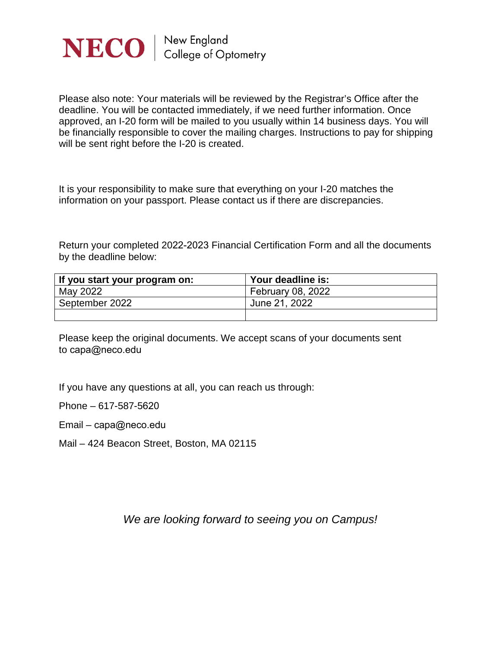

Please also note: Your materials will be reviewed by the Registrar's Office after the deadline. You will be contacted immediately, if we need further information. Once approved, an I-20 form will be mailed to you usually within 14 business days. You will be financially responsible to cover the mailing charges. Instructions to pay for shipping will be sent right before the I-20 is created.

It is your responsibility to make sure that everything on your I-20 matches the information on your passport. Please contact us if there are discrepancies.

Return your completed 2022-2023 Financial Certification Form and all the documents by the deadline below:

| If you start your program on: | Your deadline is:        |
|-------------------------------|--------------------------|
| May 2022                      | <b>February 08, 2022</b> |
| September 2022                | June 21, 2022            |
|                               |                          |

Please keep the original documents. We accept scans of your documents sent to [capa@neco.edu](mailto:registrars@neco.edu)

If you have any questions at all, you can reach us through:

Phone – 617-587-5620

Email – [capa@neco.edu](mailto:registrars@neco.edu)

Mail – 424 Beacon Street, Boston, MA 02115

*We are looking forward to seeing you on Campus!*